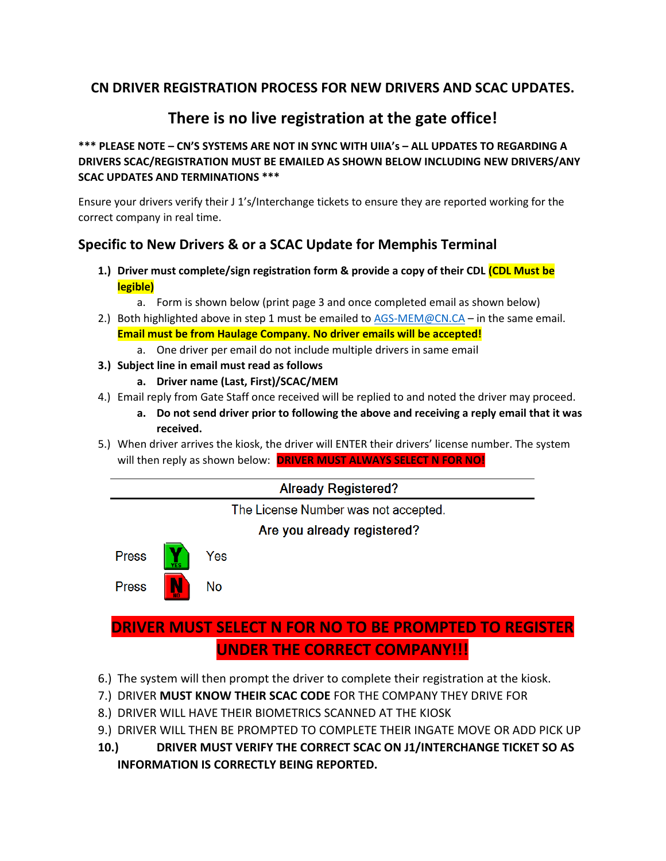## **CN DRIVER REGISTRATION PROCESS FOR NEW DRIVERS AND SCAC UPDATES.**

# **There is no live registration at the gate office!**

#### **\*\*\* PLEASE NOTE – CN'S SYSTEMS ARE NOT IN SYNC WITH UIIA's – ALL UPDATES TO REGARDING A DRIVERS SCAC/REGISTRATION MUST BE EMAILED AS SHOWN BELOW INCLUDING NEW DRIVERS/ANY SCAC UPDATES AND TERMINATIONS \*\*\***

Ensure your drivers verify their J 1's/Interchange tickets to ensure they are reported working for the correct company in real time.

#### **Specific to New Drivers & or a SCAC Update for Memphis Terminal**

- **1.) Driver must complete/sign registration form & provide a copy of their CDL (CDL Must be legible)**
	- a. Form is shown below (print page 3 and once completed email as shown below)
- 2.) Both highlighted above in step 1 must be emailed to  $AGS-MEM@CN.CA in$  the same email. **Email must be from Haulage Company. No driver emails will be accepted!**
	- a. One driver per email do not include multiple drivers in same email
- **3.) Subject line in email must read as follows**
	- **a. Driver name (Last, First)/SCAC/MEM**
- 4.) Email reply from Gate Staff once received will be replied to and noted the driver may proceed.
	- **a. Do not send driver prior to following the above and receiving a reply email that it was received.**
- 5.) When driver arrives the kiosk, the driver will ENTER their drivers' license number. The system will then reply as shown below: **DRIVER MUST ALWAYS SELECT N FOR NO!**



# **DRIVER MUST SELECT N FOR NO TO BE PROMPTED TO REGISTER UNDER THE CORRECT COMPANY!!!**

- 6.) The system will then prompt the driver to complete their registration at the kiosk.
- 7.) DRIVER **MUST KNOW THEIR SCAC CODE** FOR THE COMPANY THEY DRIVE FOR
- 8.) DRIVER WILL HAVE THEIR BIOMETRICS SCANNED AT THE KIOSK
- 9.) DRIVER WILL THEN BE PROMPTED TO COMPLETE THEIR INGATE MOVE OR ADD PICK UP
- **10.) DRIVER MUST VERIFY THE CORRECT SCAC ON J1/INTERCHANGE TICKET SO AS INFORMATION IS CORRECTLY BEING REPORTED.**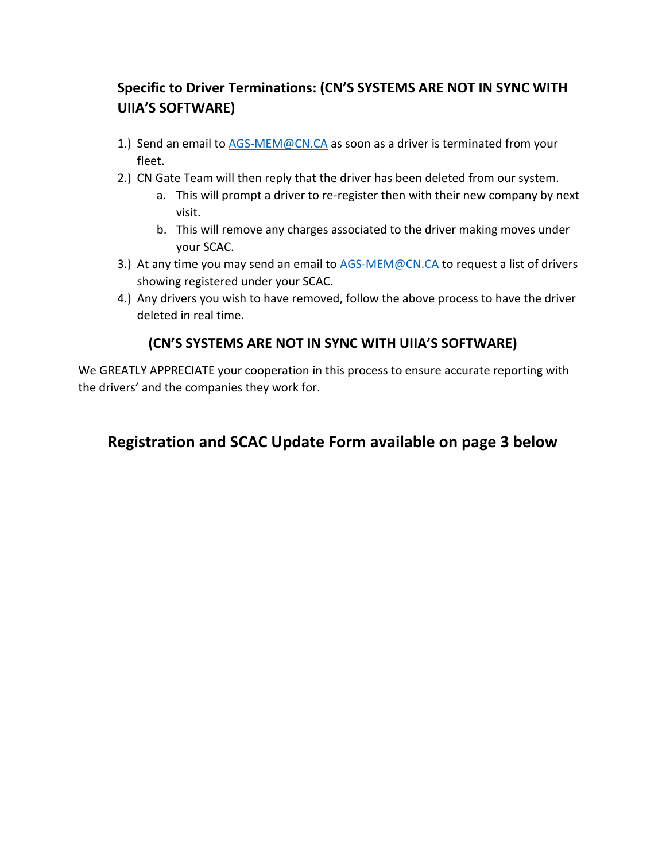## **Specific to Driver Terminations: (CN'S SYSTEMS ARE NOT IN SYNC WITH UIIA'S SOFTWARE)**

- 1.) Send an email to [AGS-MEM@CN.CA](mailto:AGS-MEM@CN.CA) as soon as a driver is terminated from your fleet.
- 2.) CN Gate Team will then reply that the driver has been deleted from our system.
	- a. This will prompt a driver to re-register then with their new company by next visit.
	- b. This will remove any charges associated to the driver making moves under your SCAC.
- 3.) At any time you may send an email to **AGS-MEM@CN.CA** to request a list of drivers showing registered under your SCAC.
- 4.) Any drivers you wish to have removed, follow the above process to have the driver deleted in real time.

### **(CN'S SYSTEMS ARE NOT IN SYNC WITH UIIA'S SOFTWARE)**

We GREATLY APPRECIATE your cooperation in this process to ensure accurate reporting with the drivers' and the companies they work for.

# **Registration and SCAC Update Form available on page 3 below**